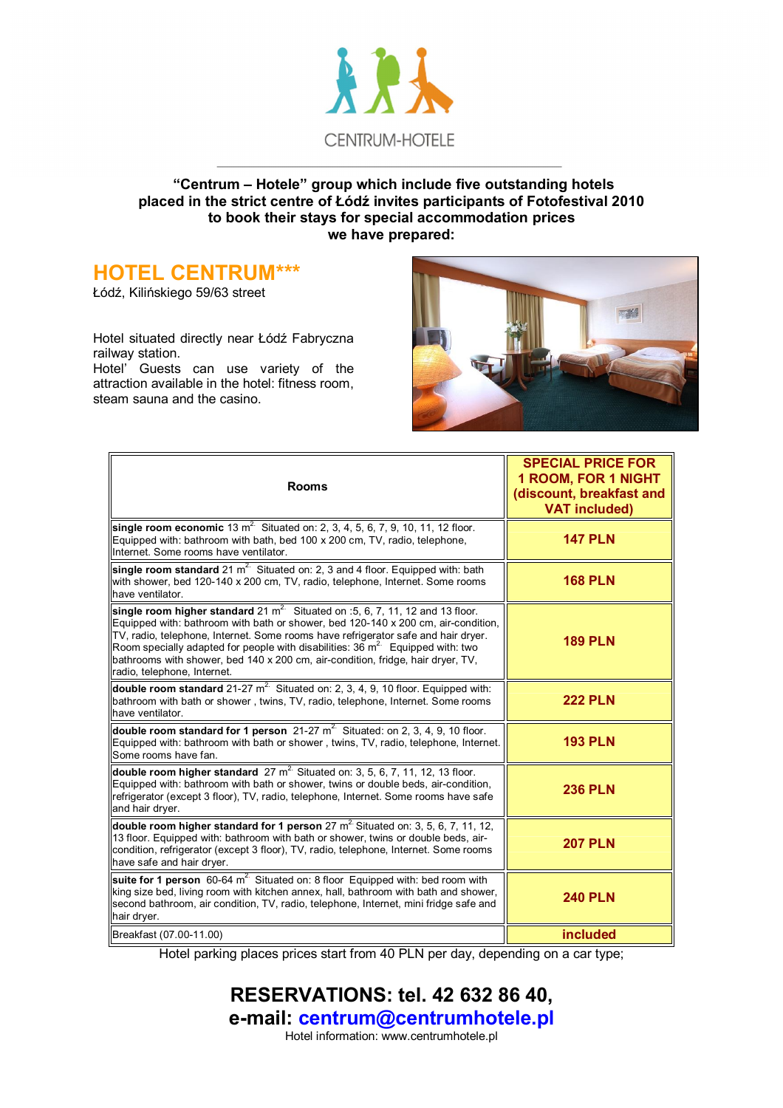

#### **"Centrum – Hotele" group which include five outstanding hotels placed in the strict centre of Łódź invites participants of Fotofestival 2010 to book their stays for special accommodation prices we have prepared:**

#### **HOTEL CENTRUM\*\*\***

Łódź, Kilińskiego 59/63 street

Hotel situated directly near Łódź Fabryczna railway station.

Hotel' Guests can use variety of the attraction available in the hotel: fitness room, steam sauna and the casino.



| <b>Rooms</b>                                                                                                                                                                                                                                                                                                                                                                                                                                                    | <b>SPECIAL PRICE FOR</b><br><b>1 ROOM, FOR 1 NIGHT</b><br>(discount, breakfast and<br><b>VAT included)</b> |
|-----------------------------------------------------------------------------------------------------------------------------------------------------------------------------------------------------------------------------------------------------------------------------------------------------------------------------------------------------------------------------------------------------------------------------------------------------------------|------------------------------------------------------------------------------------------------------------|
| single room economic 13 $m^2$ Situated on: 2, 3, 4, 5, 6, 7, 9, 10, 11, 12 floor.<br>Equipped with: bathroom with bath, bed 100 x 200 cm, TV, radio, telephone,<br>Internet. Some rooms have ventilator.                                                                                                                                                                                                                                                        | <b>147 PLN</b>                                                                                             |
| single room standard 21 $m^2$ Situated on: 2, 3 and 4 floor. Equipped with: bath<br>with shower, bed 120-140 x 200 cm, TV, radio, telephone, Internet. Some rooms<br>have ventilator.                                                                                                                                                                                                                                                                           | <b>168 PLN</b>                                                                                             |
| single room higher standard 21 $m^2$ Situated on :5, 6, 7, 11, 12 and 13 floor.<br>Equipped with: bathroom with bath or shower, bed 120-140 x 200 cm, air-condition,<br>TV, radio, telephone, Internet. Some rooms have refrigerator safe and hair dryer.<br>Room specially adapted for people with disabilities: 36 $m^2$ Equipped with: two<br>bathrooms with shower, bed 140 x 200 cm, air-condition, fridge, hair dryer, TV,<br>radio, telephone, Internet. | <b>189 PLN</b>                                                                                             |
| double room standard 21-27 $m^2$ Situated on: 2, 3, 4, 9, 10 floor. Equipped with:<br>bathroom with bath or shower, twins, TV, radio, telephone, Internet. Some rooms<br>have ventilator.                                                                                                                                                                                                                                                                       | <b>222 PLN</b>                                                                                             |
| double room standard for 1 person $21-27$ m <sup>2</sup> Situated: on 2, 3, 4, 9, 10 floor.<br>Equipped with: bathroom with bath or shower, twins, TV, radio, telephone, Internet.<br>Some rooms have fan.                                                                                                                                                                                                                                                      | <b>193 PLN</b>                                                                                             |
| double room higher standard $27 \text{ m}^2$ . Situated on: 3, 5, 6, 7, 11, 12, 13 floor.<br>Equipped with: bathroom with bath or shower, twins or double beds, air-condition,<br>refrigerator (except 3 floor), TV, radio, telephone, Internet. Some rooms have safe<br>and hair dryer.                                                                                                                                                                        | <b>236 PLN</b>                                                                                             |
| double room higher standard for 1 person 27 $m2$ . Situated on: 3, 5, 6, 7, 11, 12,<br>13 floor. Equipped with: bathroom with bath or shower, twins or double beds, air-<br>condition, refrigerator (except 3 floor), TV, radio, telephone, Internet. Some rooms<br>have safe and hair dryer.                                                                                                                                                                   | <b>207 PLN</b>                                                                                             |
| suite for 1 person 60-64 $m^2$ Situated on: 8 floor Equipped with: bed room with<br>king size bed, living room with kitchen annex, hall, bathroom with bath and shower,<br>second bathroom, air condition, TV, radio, telephone, Internet, mini fridge safe and<br>hair dryer.                                                                                                                                                                                  | <b>240 PLN</b>                                                                                             |
| Breakfast (07.00-11.00)                                                                                                                                                                                                                                                                                                                                                                                                                                         | included                                                                                                   |

Hotel parking places prices start from 40 PLN per day, depending on a car type;

**RESERVATIONS: tel. 42 632 86 40, e-mail: centrum@centrumhotele.pl**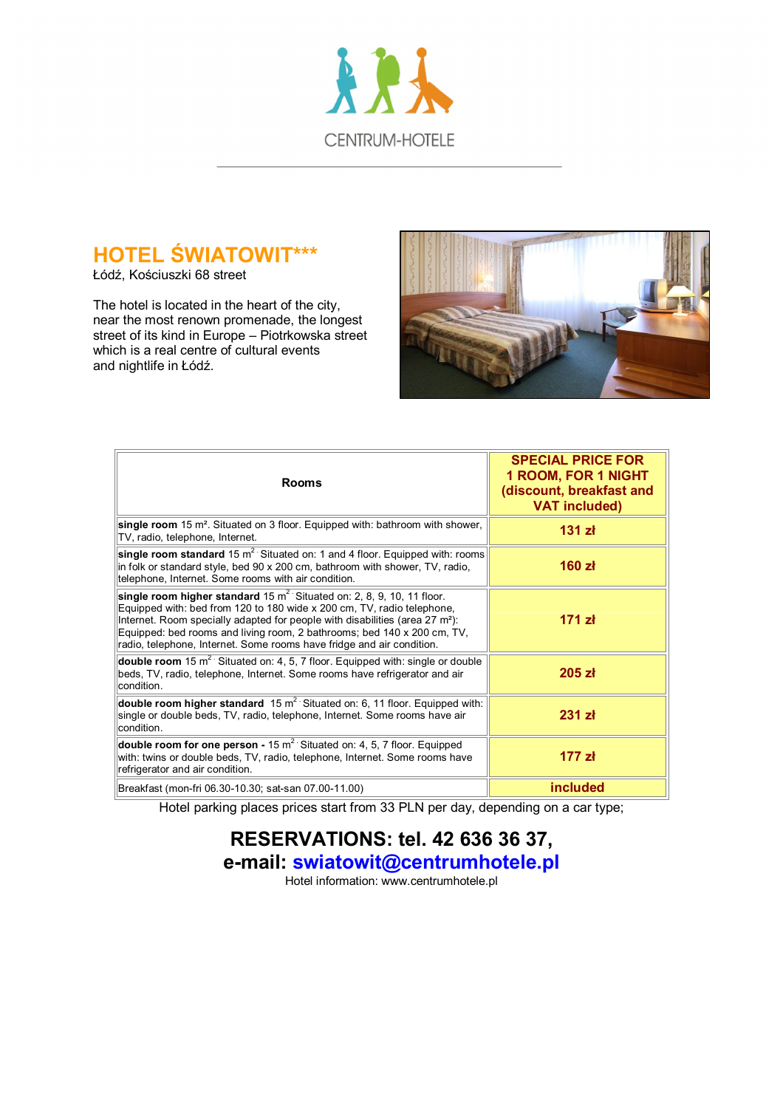

# **HOTEL ŚWIATOWIT\*\*\***

Łódź, Kościuszki 68 street

The hotel is located in the heart of the city, near the most renown promenade, the longest street of its kind in Europe – Piotrkowska street which is a real centre of cultural events and nightlife in Łódź.



| <b>Rooms</b>                                                                                                                                                                                                                                                                                                                                                                                                 | <b>SPECIAL PRICE FOR</b><br><b>1 ROOM, FOR 1 NIGHT</b><br>(discount, breakfast and<br><b>VAT included)</b> |
|--------------------------------------------------------------------------------------------------------------------------------------------------------------------------------------------------------------------------------------------------------------------------------------------------------------------------------------------------------------------------------------------------------------|------------------------------------------------------------------------------------------------------------|
| single room 15 m <sup>2</sup> . Situated on 3 floor. Equipped with: bathroom with shower,<br>TV, radio, telephone, Internet.                                                                                                                                                                                                                                                                                 | 131 zł                                                                                                     |
| single room standard 15 $m^2$ Situated on: 1 and 4 floor. Equipped with: rooms<br>in folk or standard style, bed 90 x 200 cm, bathroom with shower, TV, radio,<br>telephone, Internet. Some rooms with air condition.                                                                                                                                                                                        | 160 z <sub>t</sub>                                                                                         |
| single room higher standard $15 \text{ m}^2$ . Situated on: 2, 8, 9, 10, 11 floor.<br>Equipped with: bed from 120 to 180 wide x 200 cm, TV, radio telephone,<br>Internet. Room specially adapted for people with disabilities (area 27 m <sup>2</sup> ):<br>Equipped: bed rooms and living room, 2 bathrooms; bed 140 x 200 cm, TV,<br>radio, telephone, Internet. Some rooms have fridge and air condition. | 171 z <sub>k</sub>                                                                                         |
| double room 15 $m^2$ Situated on: 4, 5, 7 floor. Equipped with: single or double<br>beds, TV, radio, telephone, Internet. Some rooms have refrigerator and air<br>condition.                                                                                                                                                                                                                                 | 205 z <sub>k</sub>                                                                                         |
| double room higher standard $15 \text{ m}^2$ Situated on: 6, 11 floor. Equipped with:<br>single or double beds, TV, radio, telephone, Internet. Some rooms have air<br>condition.                                                                                                                                                                                                                            | $231$ zł                                                                                                   |
| double room for one person - 15 $m^2$ Situated on: 4, 5, 7 floor. Equipped<br>with: twins or double beds, TV, radio, telephone, Internet. Some rooms have<br>refrigerator and air condition.                                                                                                                                                                                                                 | 177 z <sub>k</sub>                                                                                         |
| Breakfast (mon-fri 06.30-10.30; sat-san 07.00-11.00)                                                                                                                                                                                                                                                                                                                                                         | included                                                                                                   |

Hotel parking places prices start from 33 PLN per day, depending on a car type;

## **RESERVATIONS: tel. 42 636 36 37, e-mail: swiatowit@centrumhotele.pl**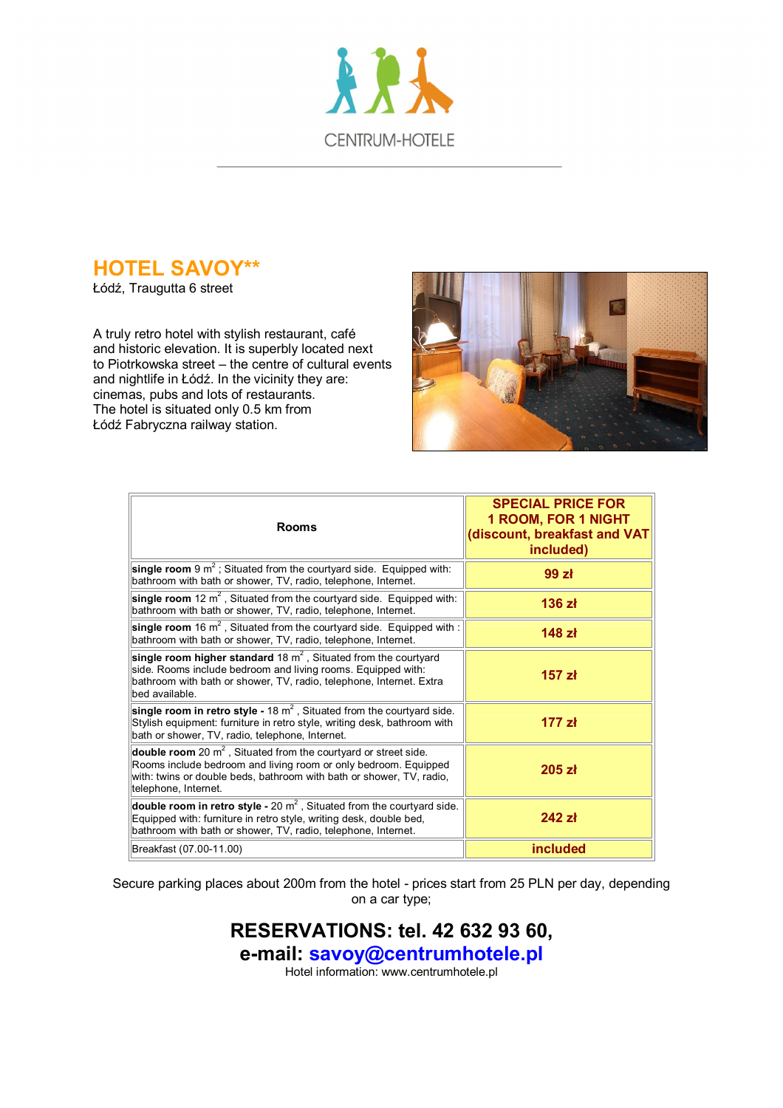

# **HOTEL SAVOY\*\***

Łódź, Traugutta 6 street

A truly retro hotel with stylish restaurant, café and historic elevation. It is superbly located next to Piotrkowska street – the centre of cultural events and nightlife in Łódź. In the vicinity they are: cinemas, pubs and lots of restaurants. The hotel is situated only 0.5 km from Łódź Fabryczna railway station.



| <b>Rooms</b>                                                                                                                                                                                                                          | <b>SPECIAL PRICE FOR</b><br><b>1 ROOM, FOR 1 NIGHT</b><br>discount, breakfast and VAT<br>included) |
|---------------------------------------------------------------------------------------------------------------------------------------------------------------------------------------------------------------------------------------|----------------------------------------------------------------------------------------------------|
| single room 9 $m^2$ ; Situated from the courtyard side. Equipped with:<br>bathroom with bath or shower, TV, radio, telephone, Internet.                                                                                               | 99 zł                                                                                              |
| single room 12 $m^2$ , Situated from the courtyard side. Equipped with:<br>bathroom with bath or shower, TV, radio, telephone, Internet.                                                                                              | 136 zł                                                                                             |
| single room 16 $m^2$ , Situated from the courtyard side. Equipped with:<br>bathroom with bath or shower, TV, radio, telephone, Internet.                                                                                              | 148 zł                                                                                             |
| single room higher standard 18 $m2$ . Situated from the courtyard<br>side. Rooms include bedroom and living rooms. Equipped with:<br>bathroom with bath or shower, TV, radio, telephone, Internet. Extra<br>bed available.            | 157 zł                                                                                             |
| single room in retro style - 18 $m^2$ , Situated from the courtyard side.<br>Stylish equipment: furniture in retro style, writing desk, bathroom with<br>bath or shower, TV, radio, telephone, Internet.                              | 177 z <sub>k</sub>                                                                                 |
| double room 20 $m^2$ , Situated from the courtyard or street side.<br>Rooms include bedroom and living room or only bedroom. Equipped<br>with: twins or double beds, bathroom with bath or shower, TV, radio,<br>telephone, Internet. | 205 z <sub>k</sub>                                                                                 |
| double room in retro style - 20 $m^2$ , Situated from the courtyard side.<br>Equipped with: furniture in retro style, writing desk, double bed,<br>bathroom with bath or shower, TV, radio, telephone, Internet.                      | $242$ zł                                                                                           |
| Breakfast (07.00-11.00)                                                                                                                                                                                                               | included                                                                                           |

Secure parking places about 200m from the hotel - prices start from 25 PLN per day, depending on a car type;

## **RESERVATIONS: tel. 42 632 93 60, e-mail: savoy@centrumhotele.pl**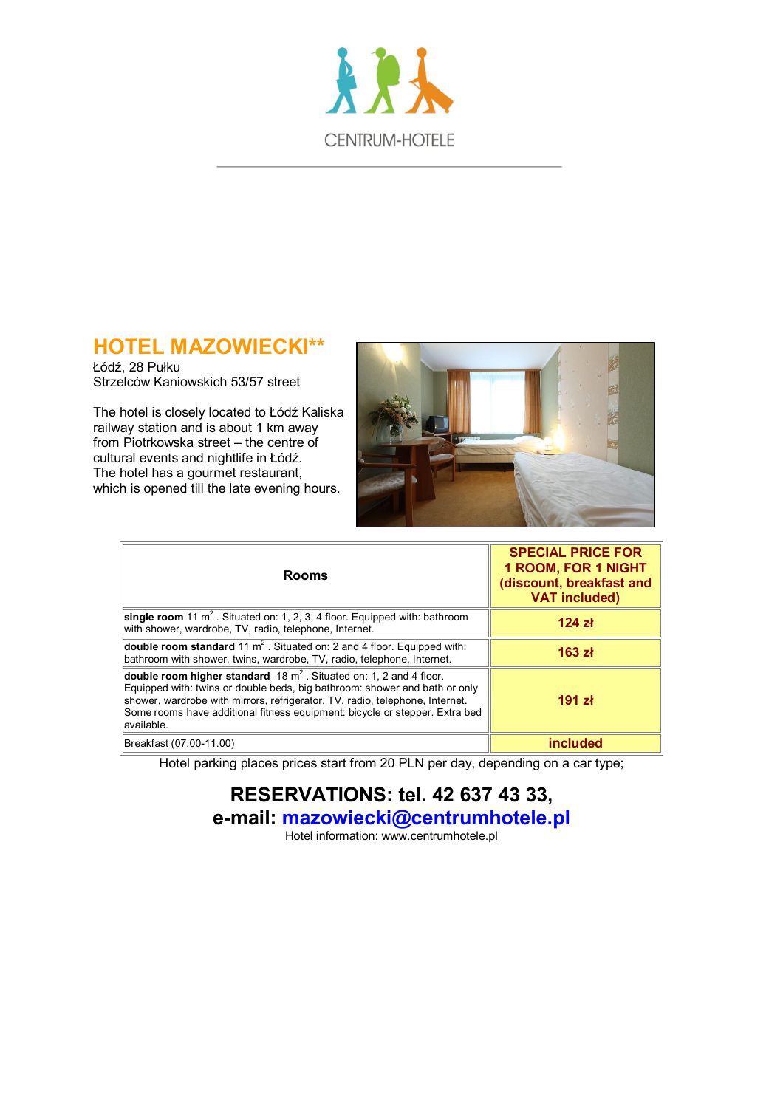

## **HOTEL MAZOWIECKI\*\***

Łódź, 28 Pułku Strzelców Kaniowskich 53/57 street

The hotel is closely located to Łódź Kaliska railway station and is about 1 km away from Piotrkowska street – the centre of cultural events and nightlife in Łódź. The hotel has a gourmet restaurant, which is opened till the late evening hours.



| <b>Rooms</b>                                                                                                                                                                                                                                                                                                                     | <b>SPECIAL PRICE FOR</b><br><b>1 ROOM, FOR 1 NIGHT</b><br>(discount, breakfast and<br><b>VAT included)</b> |
|----------------------------------------------------------------------------------------------------------------------------------------------------------------------------------------------------------------------------------------------------------------------------------------------------------------------------------|------------------------------------------------------------------------------------------------------------|
| single room 11 $m^2$ . Situated on: 1, 2, 3, 4 floor. Equipped with: bathroom<br>with shower, wardrobe, TV, radio, telephone, Internet.                                                                                                                                                                                          | 124 z <sub>k</sub>                                                                                         |
| double room standard 11 $m^2$ . Situated on: 2 and 4 floor. Equipped with:<br>bathroom with shower, twins, wardrobe, TV, radio, telephone, Internet.                                                                                                                                                                             | 163 z <sub>k</sub>                                                                                         |
| double room higher standard 18 $m^2$ . Situated on: 1, 2 and 4 floor.<br>Equipped with: twins or double beds, big bathroom: shower and bath or only<br>shower, wardrobe with mirrors, refrigerator, TV, radio, telephone, Internet.<br>Some rooms have additional fitness equipment: bicycle or stepper. Extra bed<br>available. | 191 z <sub>k</sub>                                                                                         |
| Breakfast (07.00-11.00)                                                                                                                                                                                                                                                                                                          | included                                                                                                   |

Hotel parking places prices start from 20 PLN per day, depending on a car type;

**RESERVATIONS: tel. 42 637 43 33, e-mail: mazowiecki@centrumhotele.pl**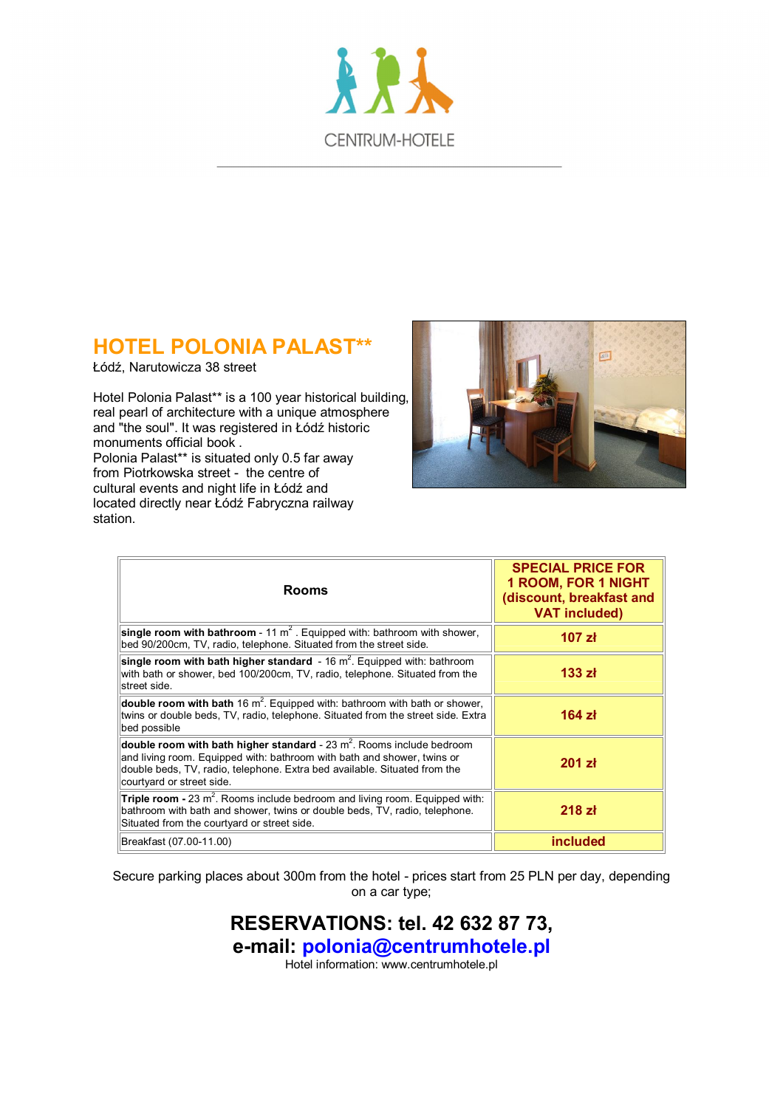

# **HOTEL POLONIA PALAST\*\***

Łódź, Narutowicza 38 street

Hotel Polonia Palast\*\* is a 100 year historical building, real pearl of architecture with a unique atmosphere and "the soul". It was registered in Łódź historic monuments official book.

Polonia Palast\*\* is situated only 0.5 far away from Piotrkowska street - the centre of cultural events and night life in Łódź and located directly near Łódź Fabryczna railway station.



| <b>Rooms</b>                                                                                                                                                                                                                                                  | <b>SPECIAL PRICE FOR</b><br><b>1 ROOM, FOR 1 NIGHT</b><br>(discount, breakfast and<br><b>VAT included)</b> |
|---------------------------------------------------------------------------------------------------------------------------------------------------------------------------------------------------------------------------------------------------------------|------------------------------------------------------------------------------------------------------------|
| single room with bathroom - 11 $m^2$ . Equipped with: bathroom with shower,<br>bed 90/200cm, TV, radio, telephone. Situated from the street side.                                                                                                             | 107 z <sub>k</sub>                                                                                         |
| single room with bath higher standard $-16$ m <sup>2</sup> . Equipped with: bathroom<br>with bath or shower, bed 100/200cm, TV, radio, telephone. Situated from the<br>street side.                                                                           | 133 z <sub>k</sub>                                                                                         |
| double room with bath 16 $m^2$ . Equipped with: bathroom with bath or shower,<br>twins or double beds, TV, radio, telephone. Situated from the street side. Extra<br>bed possible                                                                             | $164$ zł                                                                                                   |
| double room with bath higher standard - 23 $m^2$ . Rooms include bedroom<br>and living room. Equipped with: bathroom with bath and shower, twins or<br>double beds, TV, radio, telephone. Extra bed available. Situated from the<br>courtyard or street side. | 201 z <sub>k</sub>                                                                                         |
| Triple room - 23 $m^2$ . Rooms include bedroom and living room. Equipped with:<br>bathroom with bath and shower, twins or double beds, TV, radio, telephone.<br>Situated from the courtyard or street side.                                                   | 218 z <sub>k</sub>                                                                                         |
| Breakfast (07.00-11.00)                                                                                                                                                                                                                                       | included                                                                                                   |

Secure parking places about 300m from the hotel - prices start from 25 PLN per day, depending on a car type;

> **RESERVATIONS: tel. 42 632 87 73, e-mail: polonia@centrumhotele.pl** Hotel information: www.centrumhotele.pl